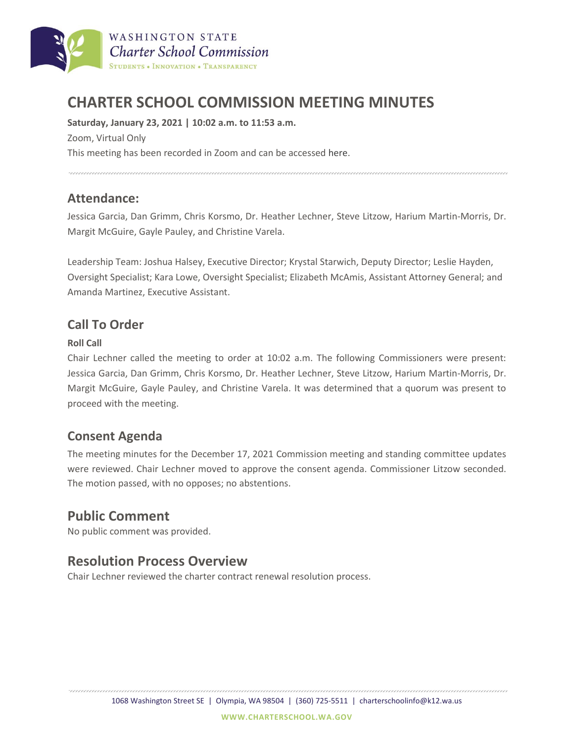

# **CHARTER SCHOOL COMMISSION MEETING MINUTES**

**Saturday, January 23, 2021 | 10:02 a.m. to 11:53 a.m.** Zoom, Virtual Only

This meeting has been recorded in Zoom and can be accessed here.

# **Attendance:**

Jessica Garcia, Dan Grimm, Chris Korsmo, Dr. Heather Lechner, Steve Litzow, Harium Martin-Morris, Dr. Margit McGuire, Gayle Pauley, and Christine Varela.

Leadership Team: Joshua Halsey, Executive Director; Krystal Starwich, Deputy Director; Leslie Hayden, Oversight Specialist; Kara Lowe, Oversight Specialist; Elizabeth McAmis, Assistant Attorney General; and Amanda Martinez, Executive Assistant.

# **Call To Order**

#### **Roll Call**

Chair Lechner called the meeting to order at 10:02 a.m. The following Commissioners were present: Jessica Garcia, Dan Grimm, Chris Korsmo, Dr. Heather Lechner, Steve Litzow, Harium Martin-Morris, Dr. Margit McGuire, Gayle Pauley, and Christine Varela. It was determined that a quorum was present to proceed with the meeting.

### **Consent Agenda**

The meeting minutes for the December 17, 2021 Commission meeting and standing committee updates were reviewed. Chair Lechner moved to approve the consent agenda. Commissioner Litzow seconded. The motion passed, with no opposes; no abstentions.

# **Public Comment**

No public comment was provided.

# **Resolution Process Overview**

Chair Lechner reviewed the charter contract renewal resolution process.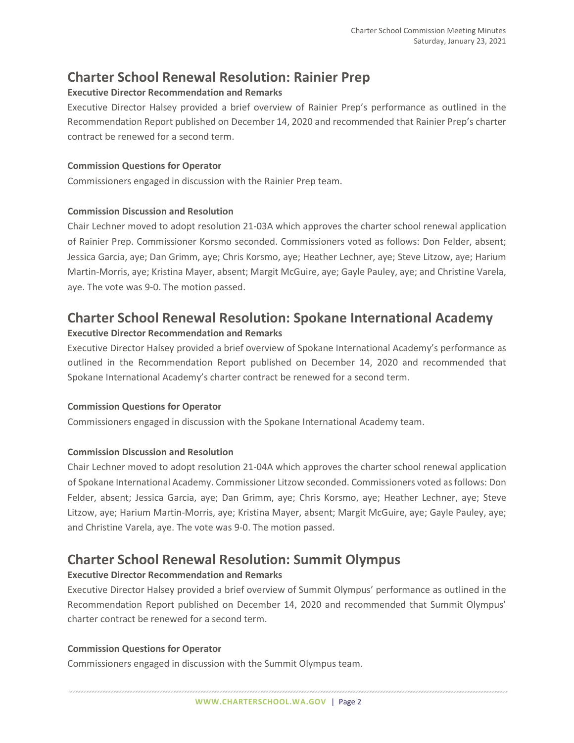# **Charter School Renewal Resolution: Rainier Prep**

#### **Executive Director Recommendation and Remarks**

Executive Director Halsey provided a brief overview of Rainier Prep's performance as outlined in the Recommendation Report published on December 14, 2020 and recommended that Rainier Prep's charter contract be renewed for a second term.

#### **Commission Questions for Operator**

Commissioners engaged in discussion with the Rainier Prep team.

#### **Commission Discussion and Resolution**

Chair Lechner moved to adopt resolution 21-03A which approves the charter school renewal application of Rainier Prep. Commissioner Korsmo seconded. Commissioners voted as follows: Don Felder, absent; Jessica Garcia, aye; Dan Grimm, aye; Chris Korsmo, aye; Heather Lechner, aye; Steve Litzow, aye; Harium Martin-Morris, aye; Kristina Mayer, absent; Margit McGuire, aye; Gayle Pauley, aye; and Christine Varela, aye. The vote was 9-0. The motion passed.

# **Charter School Renewal Resolution: Spokane International Academy**

#### **Executive Director Recommendation and Remarks**

Executive Director Halsey provided a brief overview of Spokane International Academy's performance as outlined in the Recommendation Report published on December 14, 2020 and recommended that Spokane International Academy's charter contract be renewed for a second term.

#### **Commission Questions for Operator**

Commissioners engaged in discussion with the Spokane International Academy team.

#### **Commission Discussion and Resolution**

Chair Lechner moved to adopt resolution 21-04A which approves the charter school renewal application of Spokane International Academy. Commissioner Litzow seconded. Commissioners voted as follows: Don Felder, absent; Jessica Garcia, aye; Dan Grimm, aye; Chris Korsmo, aye; Heather Lechner, aye; Steve Litzow, aye; Harium Martin-Morris, aye; Kristina Mayer, absent; Margit McGuire, aye; Gayle Pauley, aye; and Christine Varela, aye. The vote was 9-0. The motion passed.

### **Charter School Renewal Resolution: Summit Olympus**

#### **Executive Director Recommendation and Remarks**

Executive Director Halsey provided a brief overview of Summit Olympus' performance as outlined in the Recommendation Report published on December 14, 2020 and recommended that Summit Olympus' charter contract be renewed for a second term.

#### **Commission Questions for Operator**

Commissioners engaged in discussion with the Summit Olympus team.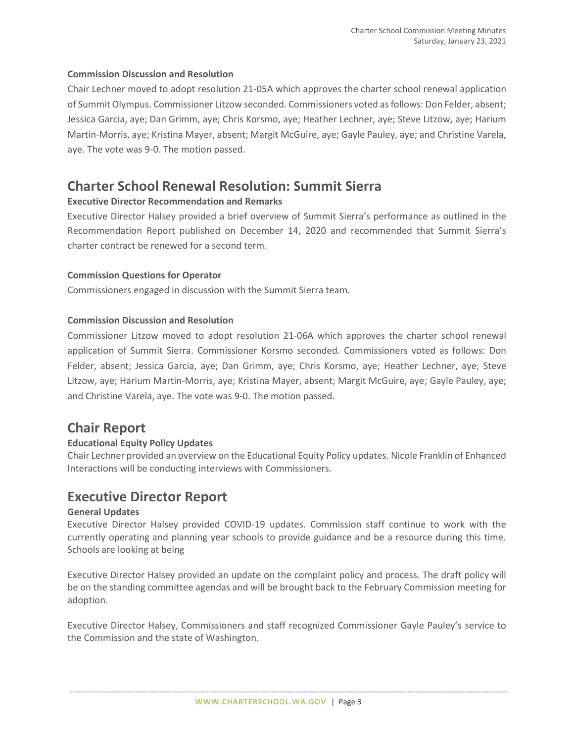#### **Commission Discussion and Resolution**

Chair Lechner moved to adopt resolution 21-05A which approves the charter school renewal application of Summit Olympus. Commissioner Litzow seconded. Commissioners voted as follows: Don Felder, absent; Jessica Garcia, aye; Dan Grimm, aye; Chris Korsmo, aye; Heather Lechner, aye; Steve Litzow, aye; Harium Martin-Morris, aye; Kristina Mayer, absent; Margit McGuire, aye; Gayle Pauley, aye; and Christine Varela, aye. The vote was 9-0. The motion passed.

### **Charter School Renewal Resolution: Summit Sierra**

#### **Executive Director Recommendation and Remarks**

Executive Director Halsey provided a brief overview of Summit Sierra's performance as outlined in the Recommendation Report published on December 14, 2020 and recommended that Summit Sierra's charter contract be renewed for a second term.

#### **Commission Questions for Operator**

Commissioners engaged in discussion with the Summit Sierra team.

#### **Commission Discussion and Resolution**

Commissioner Litzow moved to adopt resolution 21-06A which approves the charter school renewal application of Summit Sierra. Commissioner Korsmo seconded. Commissioners voted as follows: Don Felder, absent; Jessica Garcia, aye; Dan Grimm, aye; Chris Korsmo, aye; Heather Lechner, aye; Steve Litzow, aye; Harium Martin-Morris, aye; Kristina Mayer, absent; Margit McGuire, aye; Gayle Pauley, aye; and Christine Varela, aye. The vote was 9-0. The motion passed.

### **Chair Report**

#### **Educational Equity Policy Updates**

Chair Lechner provided an overview on the Educational Equity Policy updates. Nicole Franklin of Enhanced Interactions will be conducting interviews with Commissioners.

### **Executive Director Report**

#### **General Updates**

Executive Director Halsey provided COVID-19 updates. Commission staff continue to work with the currently operating and planning year schools to provide guidance and be a resource during this time. Schools are looking at being

Executive Director Halsey provided an update on the complaint policy and process. The draft policy will be on the standing committee agendas and will be brought back to the February Commission meeting for adoption.

Executive Director Halsey, Commissioners and staff recognized Commissioner Gayle Pauley's service to the Commission and the state of Washington.